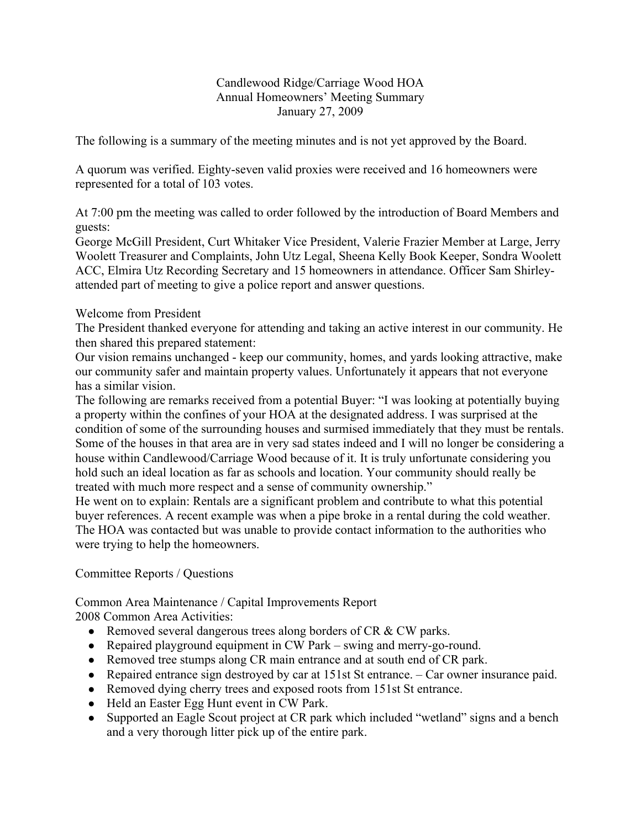### Candlewood Ridge/Carriage Wood HOA Annual Homeowners' Meeting Summary January 27, 2009

The following is a summary of the meeting minutes and is not yet approved by the Board.

A quorum was verified. Eighty-seven valid proxies were received and 16 homeowners were represented for a total of 103 votes.

At 7:00 pm the meeting was called to order followed by the introduction of Board Members and guests:

George McGill President, Curt Whitaker Vice President, Valerie Frazier Member at Large, Jerry Woolett Treasurer and Complaints, John Utz Legal, Sheena Kelly Book Keeper, Sondra Woolett ACC, Elmira Utz Recording Secretary and 15 homeowners in attendance. Officer Sam Shirleyattended part of meeting to give a police report and answer questions.

### Welcome from President

The President thanked everyone for attending and taking an active interest in our community. He then shared this prepared statement:

Our vision remains unchanged - keep our community, homes, and yards looking attractive, make our community safer and maintain property values. Unfortunately it appears that not everyone has a similar vision.

The following are remarks received from a potential Buyer: "I was looking at potentially buying a property within the confines of your HOA at the designated address. I was surprised at the condition of some of the surrounding houses and surmised immediately that they must be rentals. Some of the houses in that area are in very sad states indeed and I will no longer be considering a house within Candlewood/Carriage Wood because of it. It is truly unfortunate considering you hold such an ideal location as far as schools and location. Your community should really be treated with much more respect and a sense of community ownership."

He went on to explain: Rentals are a significant problem and contribute to what this potential buyer references. A recent example was when a pipe broke in a rental during the cold weather. The HOA was contacted but was unable to provide contact information to the authorities who were trying to help the homeowners.

## Committee Reports / Questions

Common Area Maintenance / Capital Improvements Report 2008 Common Area Activities:

- Removed several dangerous trees along borders of CR & CW parks.
- Repaired playground equipment in CW Park swing and merry-go-round.
- Removed tree stumps along CR main entrance and at south end of CR park.
- Repaired entrance sign destroyed by car at 151st St entrance. Car owner insurance paid.
- Removed dying cherry trees and exposed roots from 151st St entrance.
- Held an Easter Egg Hunt event in CW Park.
- Supported an Eagle Scout project at CR park which included "wetland" signs and a bench and a very thorough litter pick up of the entire park.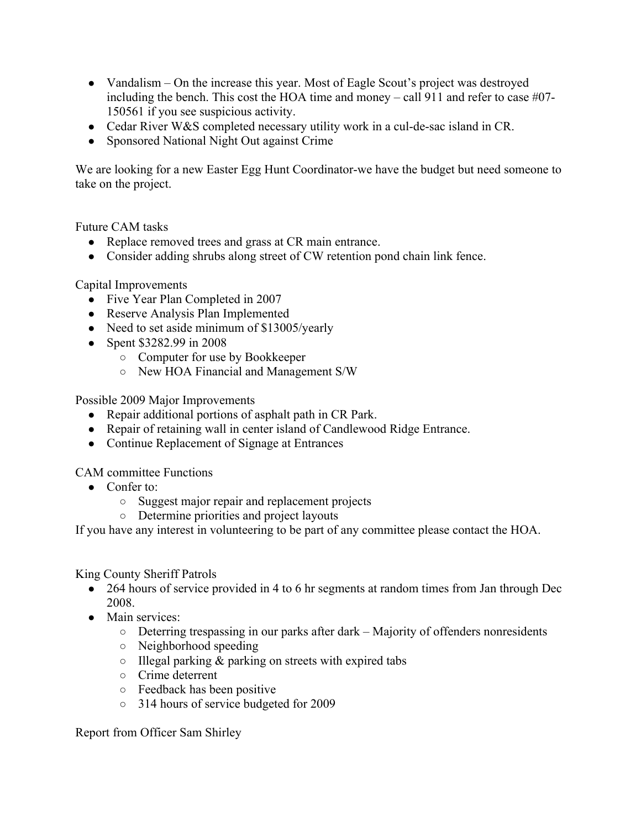- Vandalism On the increase this year. Most of Eagle Scout's project was destroyed including the bench. This cost the HOA time and money – call 911 and refer to case  $\#07$ -150561 if you see suspicious activity.
- Cedar River W&S completed necessary utility work in a cul-de-sac island in CR.
- Sponsored National Night Out against Crime

We are looking for a new Easter Egg Hunt Coordinator-we have the budget but need someone to take on the project.

Future CAM tasks

- Replace removed trees and grass at CR main entrance.
- Consider adding shrubs along street of CW retention pond chain link fence.

Capital Improvements

- Five Year Plan Completed in 2007
- Reserve Analysis Plan Implemented
- Need to set aside minimum of \$13005/yearly
- Spent \$3282.99 in 2008
	- Computer for use by Bookkeeper
	- New HOA Financial and Management S/W

Possible 2009 Major Improvements

- Repair additional portions of asphalt path in CR Park.
- Repair of retaining wall in center island of Candlewood Ridge Entrance.
- Continue Replacement of Signage at Entrances

CAM committee Functions

- Confer to:
	- Suggest major repair and replacement projects
	- Determine priorities and project layouts

If you have any interest in volunteering to be part of any committee please contact the HOA.

### King County Sheriff Patrols

- 264 hours of service provided in 4 to 6 hr segments at random times from Jan through Dec 2008.
- Main services:
	- Deterring trespassing in our parks after dark Majority of offenders nonresidents
	- Neighborhood speeding
	- $\circ$  Illegal parking & parking on streets with expired tabs
	- Crime deterrent
	- Feedback has been positive
	- 314 hours of service budgeted for 2009

Report from Officer Sam Shirley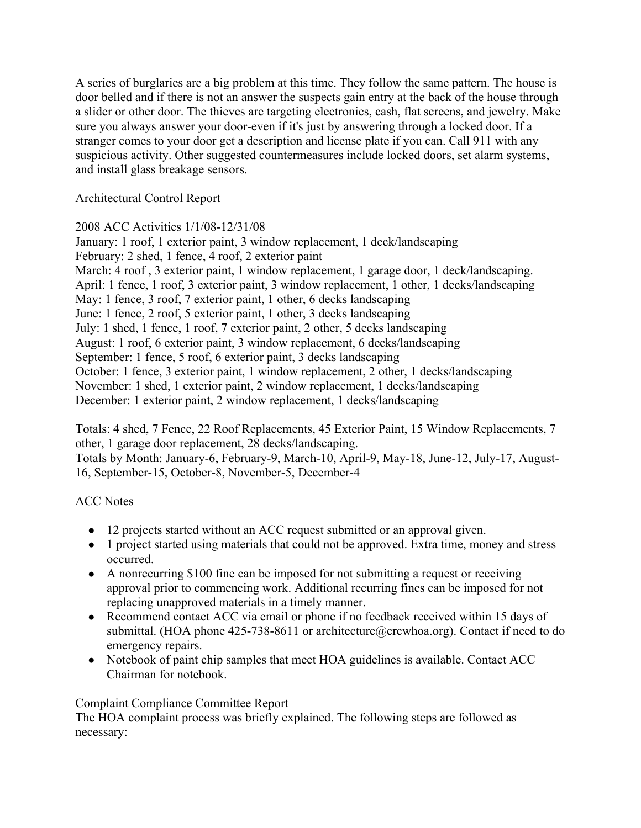A series of burglaries are a big problem at this time. They follow the same pattern. The house is door belled and if there is not an answer the suspects gain entry at the back of the house through a slider or other door. The thieves are targeting electronics, cash, flat screens, and jewelry. Make sure you always answer your door-even if it's just by answering through a locked door. If a stranger comes to your door get a description and license plate if you can. Call 911 with any suspicious activity. Other suggested countermeasures include locked doors, set alarm systems, and install glass breakage sensors.

Architectural Control Report

2008 ACC Activities 1/1/08-12/31/08

January: 1 roof, 1 exterior paint, 3 window replacement, 1 deck/landscaping February: 2 shed, 1 fence, 4 roof, 2 exterior paint March: 4 roof , 3 exterior paint, 1 window replacement, 1 garage door, 1 deck/landscaping. April: 1 fence, 1 roof, 3 exterior paint, 3 window replacement, 1 other, 1 decks/landscaping May: 1 fence, 3 roof, 7 exterior paint, 1 other, 6 decks landscaping June: 1 fence, 2 roof, 5 exterior paint, 1 other, 3 decks landscaping July: 1 shed, 1 fence, 1 roof, 7 exterior paint, 2 other, 5 decks landscaping August: 1 roof, 6 exterior paint, 3 window replacement, 6 decks/landscaping September: 1 fence, 5 roof, 6 exterior paint, 3 decks landscaping October: 1 fence, 3 exterior paint, 1 window replacement, 2 other, 1 decks/landscaping November: 1 shed, 1 exterior paint, 2 window replacement, 1 decks/landscaping December: 1 exterior paint, 2 window replacement, 1 decks/landscaping

Totals: 4 shed, 7 Fence, 22 Roof Replacements, 45 Exterior Paint, 15 Window Replacements, 7 other, 1 garage door replacement, 28 decks/landscaping. Totals by Month: January-6, February-9, March-10, April-9, May-18, June-12, July-17, August-16, September-15, October-8, November-5, December-4

# ACC Notes

- 12 projects started without an ACC request submitted or an approval given.
- 1 project started using materials that could not be approved. Extra time, money and stress occurred.
- A nonrecurring \$100 fine can be imposed for not submitting a request or receiving approval prior to commencing work. Additional recurring fines can be imposed for not replacing unapproved materials in a timely manner.
- Recommend contact ACC via email or phone if no feedback received within 15 days of submittal. (HOA phone 425-738-8611 or architecture@crcwhoa.org). Contact if need to do emergency repairs.
- Notebook of paint chip samples that meet HOA guidelines is available. Contact ACC Chairman for notebook.

## Complaint Compliance Committee Report

The HOA complaint process was briefly explained. The following steps are followed as necessary: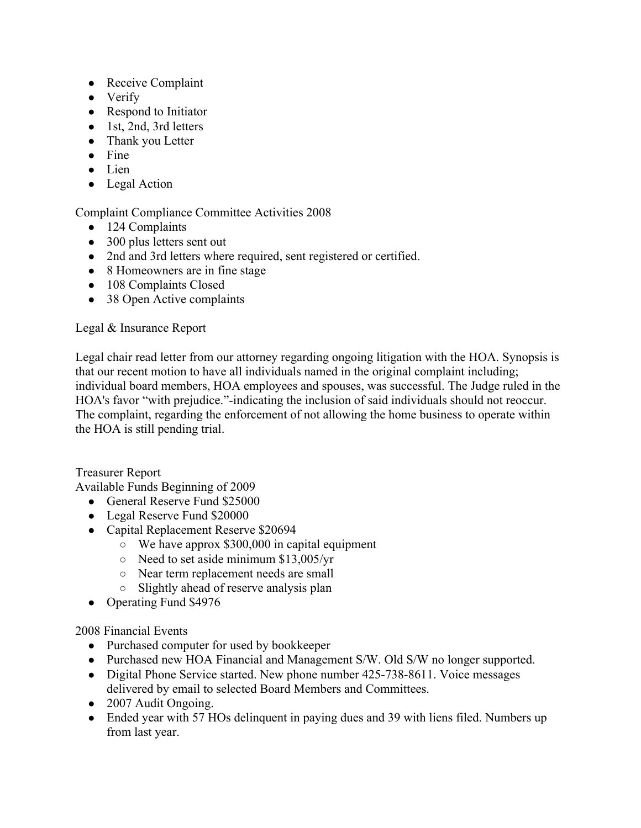- Receive Complaint
- Verify
- Respond to Initiator
- 1st, 2nd, 3rd letters
- Thank you Letter
- $\bullet$  Fine
- Lien
- Legal Action

## Complaint Compliance Committee Activities 2008

- 124 Complaints
- 300 plus letters sent out
- 2nd and 3rd letters where required, sent registered or certified.
- 8 Homeowners are in fine stage
- 108 Complaints Closed
- 38 Open Active complaints

## Legal & Insurance Report

Legal chair read letter from our attorney regarding ongoing litigation with the HOA. Synopsis is that our recent motion to have all individuals named in the original complaint including; individual board members, HOA employees and spouses, was successful. The Judge ruled in the HOA's favor "with prejudice."-indicating the inclusion of said individuals should not reoccur. The complaint, regarding the enforcement of not allowing the home business to operate within the HOA is still pending trial.

Treasurer Report

Available Funds Beginning of 2009

- General Reserve Fund \$25000
- Legal Reserve Fund \$20000
- Capital Replacement Reserve \$20694
	- $\circ$  We have approx \$300,000 in capital equipment
	- Need to set aside minimum \$13,005/yr
	- Near term replacement needs are small
	- Slightly ahead of reserve analysis plan
- Operating Fund \$4976

## 2008 Financial Events

- Purchased computer for used by bookkeeper
- Purchased new HOA Financial and Management S/W. Old S/W no longer supported.
- Digital Phone Service started. New phone number 425-738-8611. Voice messages delivered by email to selected Board Members and Committees.
- 2007 Audit Ongoing.
- Ended year with 57 HOs delinguent in paying dues and 39 with liens filed. Numbers up from last year.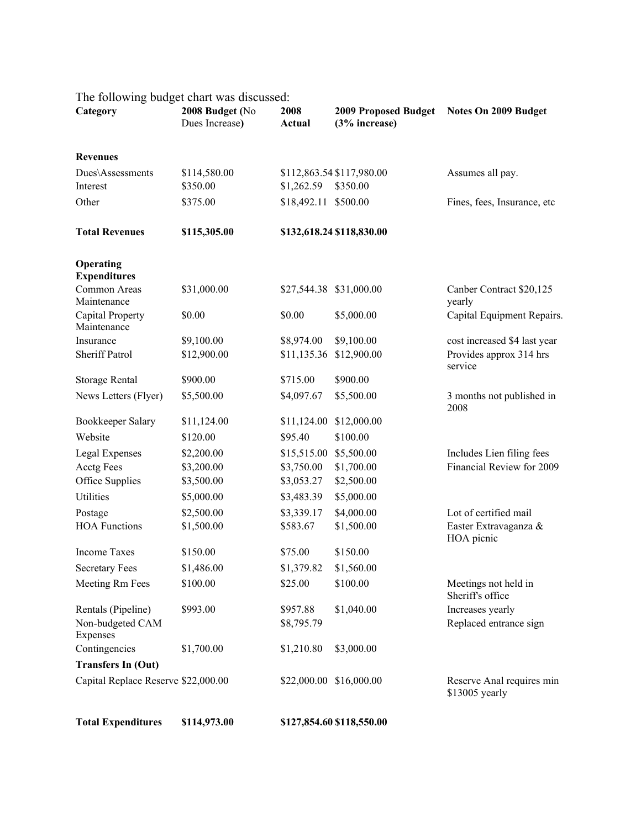| Category                                                  | 2008 Budget (No<br>Dues Increase) | 2008<br><b>Actual</b>  | (3% increase)             | 2009 Proposed Budget Notes On 2009 Budget   |
|-----------------------------------------------------------|-----------------------------------|------------------------|---------------------------|---------------------------------------------|
| <b>Revenues</b>                                           |                                   |                        |                           |                                             |
| Dues\Assessments                                          | \$114,580.00                      |                        | \$112,863.54 \$117,980.00 | Assumes all pay.                            |
| Interest                                                  | \$350.00                          | \$1,262.59             | \$350.00                  |                                             |
| Other                                                     | \$375.00                          | \$18,492.11 \$500.00   |                           | Fines, fees, Insurance, etc                 |
| <b>Total Revenues</b>                                     | \$115,305.00                      |                        | \$132,618.24 \$118,830.00 |                                             |
| Operating<br><b>Expenditures</b>                          |                                   |                        |                           |                                             |
| Common Areas<br>Maintenance                               | \$31,000.00                       |                        | \$27,544.38 \$31,000.00   | Canber Contract \$20,125<br>yearly          |
| Capital Property<br>Maintenance                           | \$0.00                            | \$0.00                 | \$5,000.00                | Capital Equipment Repairs.                  |
| Insurance                                                 | \$9,100.00                        | \$8,974.00             | \$9,100.00                | cost increased \$4 last year                |
| <b>Sheriff Patrol</b>                                     | \$12,900.00                       | \$11,135.36            | \$12,900.00               | Provides approx 314 hrs<br>service          |
| Storage Rental                                            | \$900.00                          | \$715.00               | \$900.00                  |                                             |
| News Letters (Flyer)                                      | \$5,500.00                        | \$4,097.67             | \$5,500.00                | 3 months not published in<br>2008           |
| Bookkeeper Salary                                         | \$11,124.00                       | \$11,124.00            | \$12,000.00               |                                             |
| Website                                                   | \$120.00                          | \$95.40                | \$100.00                  |                                             |
| Legal Expenses                                            | \$2,200.00                        | \$15,515.00            | \$5,500.00                | Includes Lien filing fees                   |
| Acctg Fees                                                | \$3,200.00                        | \$3,750.00             | \$1,700.00                | Financial Review for 2009                   |
| Office Supplies                                           | \$3,500.00                        | \$3,053.27             | \$2,500.00                |                                             |
| Utilities                                                 | \$5,000.00                        | \$3,483.39             | \$5,000.00                |                                             |
| Postage                                                   | \$2,500.00                        | \$3,339.17             | \$4,000.00                | Lot of certified mail                       |
| <b>HOA Functions</b>                                      | \$1,500.00                        | \$583.67               | \$1,500.00                | Easter Extravaganza &<br>HOA picnic         |
| <b>Income Taxes</b>                                       | \$150.00                          | \$75.00                | \$150.00                  |                                             |
| <b>Secretary Fees</b>                                     | \$1,486.00                        | \$1,379.82             | \$1,560.00                |                                             |
| Meeting Rm Fees                                           | \$100.00                          | \$25.00                | \$100.00                  | Meetings not held in<br>Sheriff's office    |
| Rentals (Pipeline)<br>Non-budgeted CAM<br><b>Expenses</b> | \$993.00                          | \$957.88<br>\$8,795.79 | \$1,040.00                | Increases yearly<br>Replaced entrance sign  |
| Contingencies                                             | \$1,700.00                        | \$1,210.80             | \$3,000.00                |                                             |
| <b>Transfers In (Out)</b>                                 |                                   |                        |                           |                                             |
| Capital Replace Reserve \$22,000.00                       |                                   |                        | \$22,000.00 \$16,000.00   | Reserve Anal requires min<br>\$13005 yearly |

The following budget chart was discussed:

**Total Expenditures \$114,973.00 \$127,854.60 \$118,550.00**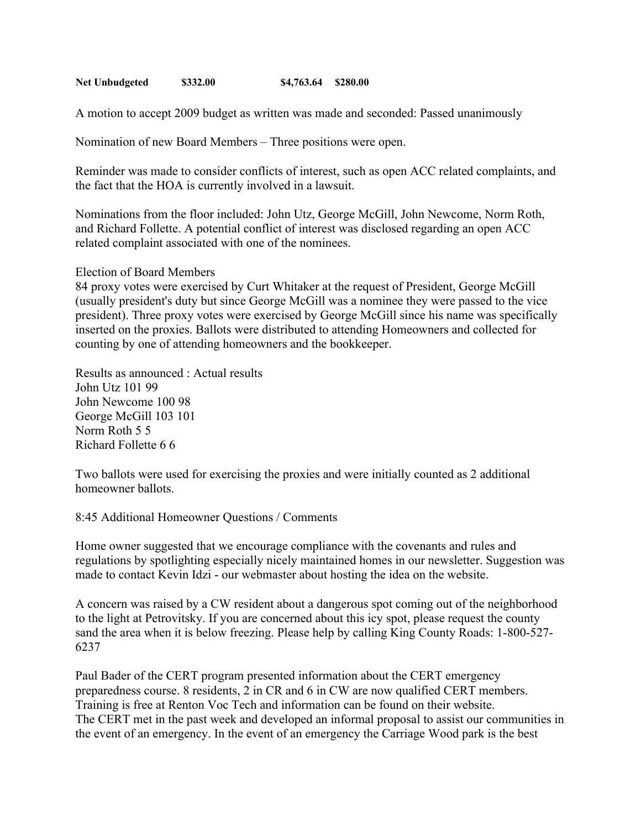**Net Unbudgeted \$332.00 \$4,763.64 \$280.00**

A motion to accept 2009 budget as written was made and seconded: Passed unanimously

Nomination of new Board Members – Three positions were open.

Reminder was made to consider conflicts of interest, such as open ACC related complaints, and the fact that the HOA is currently involved in a lawsuit.

Nominations from the floor included: John Utz, George McGill, John Newcome, Norm Roth, and Richard Follette. A potential conflict of interest was disclosed regarding an open ACC related complaint associated with one of the nominees.

Election of Board Members

84 proxy votes were exercised by Curt Whitaker at the request of President, George McGill (usually president's duty but since George McGill was a nominee they were passed to the vice president). Three proxy votes were exercised by George McGill since his name was specifically inserted on the proxies. Ballots were distributed to attending Homeowners and collected for counting by one of attending homeowners and the bookkeeper.

Results as announced : Actual results John Utz 101 99 John Newcome 100 98 George McGill 103 101 Norm Roth 5 5 Richard Follette 6 6

Two ballots were used for exercising the proxies and were initially counted as 2 additional homeowner ballots.

8:45 Additional Homeowner Questions / Comments

Home owner suggested that we encourage compliance with the covenants and rules and regulations by spotlighting especially nicely maintained homes in our newsletter. Suggestion was made to contact Kevin Idzi - our webmaster about hosting the idea on the website.

A concern was raised by a CW resident about a dangerous spot coming out of the neighborhood to the light at Petrovitsky. If you are concerned about this icy spot, please request the county sand the area when it is below freezing. Please help by calling King County Roads: 1-800-527- 6237

Paul Bader of the CERT program presented information about the CERT emergency preparedness course. 8 residents, 2 in CR and 6 in CW are now qualified CERT members. Training is free at Renton Voc Tech and information can be found on their website. The CERT met in the past week and developed an informal proposal to assist our communities in the event of an emergency. In the event of an emergency the Carriage Wood park is the best